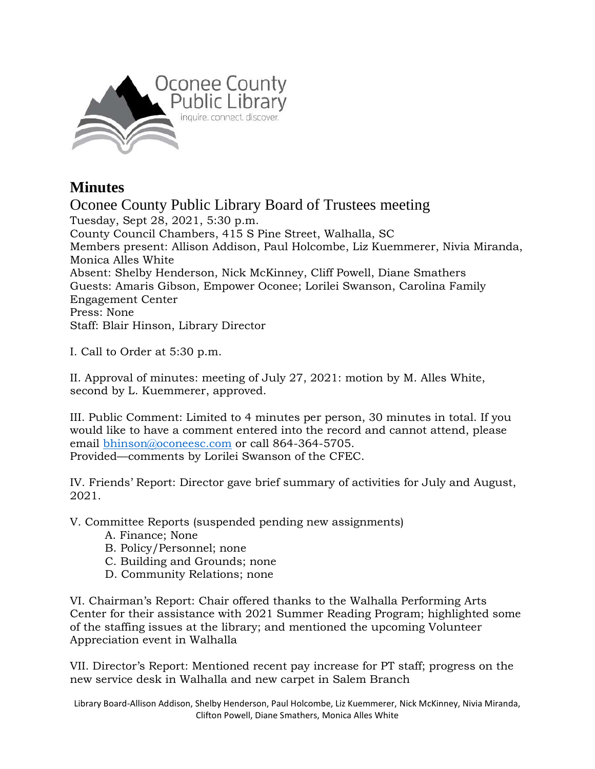

## **Minutes**

Oconee County Public Library Board of Trustees meeting Tuesday, Sept 28, 2021, 5:30 p.m. County Council Chambers, 415 S Pine Street, Walhalla, SC Members present: Allison Addison, Paul Holcombe, Liz Kuemmerer, Nivia Miranda, Monica Alles White Absent: Shelby Henderson, Nick McKinney, Cliff Powell, Diane Smathers Guests: Amaris Gibson, Empower Oconee; Lorilei Swanson, Carolina Family Engagement Center Press: None Staff: Blair Hinson, Library Director

I. Call to Order at 5:30 p.m.

II. Approval of minutes: meeting of July 27, 2021: motion by M. Alles White, second by L. Kuemmerer, approved.

III. Public Comment: Limited to 4 minutes per person, 30 minutes in total. If you would like to have a comment entered into the record and cannot attend, please email [bhinson@oconeesc.com](mailto:bhinson@oconeesc.com) or call 864-364-5705. Provided—comments by Lorilei Swanson of the CFEC.

IV. Friends' Report: Director gave brief summary of activities for July and August, 2021.

V. Committee Reports (suspended pending new assignments)

- A. Finance; None
- B. Policy/Personnel; none
- C. Building and Grounds; none
- D. Community Relations; none

VI. Chairman's Report: Chair offered thanks to the Walhalla Performing Arts Center for their assistance with 2021 Summer Reading Program; highlighted some of the staffing issues at the library; and mentioned the upcoming Volunteer Appreciation event in Walhalla

VII. Director's Report: Mentioned recent pay increase for PT staff; progress on the new service desk in Walhalla and new carpet in Salem Branch

Library Board-Allison Addison, Shelby Henderson, Paul Holcombe, Liz Kuemmerer, Nick McKinney, Nivia Miranda, Clifton Powell, Diane Smathers, Monica Alles White